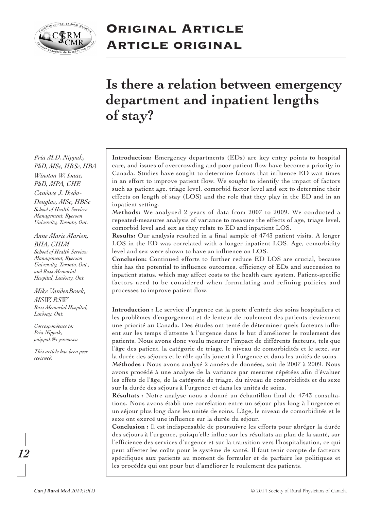

## **Original Article Article original**

# **Is there a relation between emergency department and inpatient lengths of stay?**

*Pria M.D. Nippak, PhD, MSc, HBSc, HBA Winston W. Isaac, PhD, MPA, CHE Candace J. Ikeda-Douglas, MSc, HBSc School of Health Services Management, Ryerson University, Toronto, Ont.*

#### *Anne Marie Marion, BHA, CHIM*

*School of Health Services Management, Ryerson University, Toronto, Ont., and Ross Memorial Hospital, Lindsay, Ont.*

#### *Mike VandenBroek, MSW, RSW Ross Memorial Hospital, Lindsay, Ont.*

*Correspondence to: Pria Nippak, pnippak@ryerson.ca*

*This article has been peer reviewed.*

**Introduction:** Emergency departments (EDs) are key entry points to hospital care, and issues of overcrowding and poor patient flow have become a priority in Canada. Studies have sought to determine factors that influence ED wait times in an effort to improve patient flow. We sought to identify the impact of factors such as patient age, triage level, comorbid factor level and sex to determine their effects on length of stay (LOS) and the role that they play in the ED and in an inpatient setting.

**Methods:** We analyzed 2 years of data from 2007 to 2009. We conducted a repeated-measures analysis of variance to measure the effects of age, triage level, comorbid level and sex as they relate to ED and inpatient LOS.

**Results:** Our analysis resulted in a final sample of 4743 patient visits. A longer LOS in the ED was correlated with a longer inpatient LOS. Age, comorbidity level and sex were shown to have an influence on LOS.

**Conclusion:** Continued efforts to further reduce ED LOS are crucial, because this has the potential to influence outcomes, efficiency of EDs and succession to inpatient status, which may affect costs to the health care system. Patient-specific factors need to be considered when formulating and refining policies and processes to improve patient flow.

**Introduction :** Le service d'urgence est la porte d'entrée des soins hospitaliers et les problèmes d'engorgement et de lenteur de roulement des patients deviennent une priorité au Canada. Des études ont tenté de déterminer quels facteurs influent sur les temps d'attente à l'urgence dans le but d'améliorer le roulement des patients. Nous avons donc voulu mesurer l'impact de différents facteurs, tels que l'âge des patient, la catégorie de triage, le niveau de comorbidités et le sexe, sur la durée des séjours et le rôle qu'ils jouent à l'urgence et dans les unités de soins. **Méthodes :** Nous avons analysé 2 années de données, soit de 2007 à 2009. Nous avons procédé à une analyse de la variance par mesures répétées afin d'évaluer les effets de l'âge, de la catégorie de triage, du niveau de comorbidités et du sexe sur la durée des séjours à l'urgence et dans les unités de soins.

**Résultats :** Notre analyse nous a donné un échantillon final de 4743 consultations. Nous avons établi une corrélation entre un séjour plus long à l'urgence et un séjour plus long dans les unités de soins. L'âge, le niveau de comorbidités et le sexe ont exercé une influence sur la durée du séjour.

**Conclusion :** Il est indispensable de poursuivre les efforts pour abréger la durée des séjours à l'urgence, puisqu'elle influe sur les résultats au plan de la santé, sur l'efficience des services d'urgence et sur la transition vers l'hospitalisation, ce qui peut affecter les coûts pour le système de santé. Il faut tenir compte de facteurs spécifiques aux patients au moment de formuler et de parfaire les politiques et les procédés qui ont pour but d'améliorer le roulement des patients.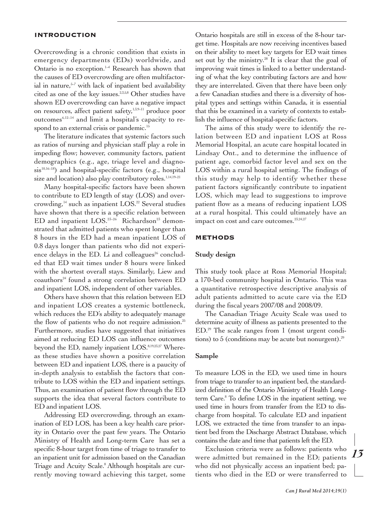#### **INTRODUCTION**

Overcrowding is a chronic condition that exists in emergency departments (EDs) worldwide, and Ontario is no exception.<sup>14</sup> Research has shown that the causes of ED overcrowding are often multifactorial in nature, 5–7 with lack of inpatient bed availability cited as one of the key issues.<sup>2,3,5,8</sup> Other studies have shown ED overcrowding can have a negative impact on resources, affect patient safety,  $1,5,9-11$  produce poor outcomes $6,12-14$  and limit a hospital's capacity to respond to an external crisis or pandemic.<sup>15</sup>

The literature indicates that systemic factors such as ratios of nursing and physician staff play a role in impeding flow; however, community factors, patient demographics (e.g., age, triage level and diagnosis<sup>10,16-18</sup>) and hospital-specific factors (e.g., hospital size and location) also play contributory roles. 1,14,19–21

Many hospital-specific factors have been shown to contribute to ED length of stay (LOS) and overcrowding, <sup>14</sup> such as inpatient LOS. <sup>22</sup> Several studies have shown that there is a specific relation between ED and inpatient LOS.<sup>23-26</sup> Richardson<sup>23</sup> demonstrated that admitted patients who spent longer than 8 hours in the ED had a mean inpatient LOS of 0.8 days longer than patients who did not experience delays in the ED. Li and colleagues $26$  concluded that ED wait times under 8 hours were linked with the shortest overall stays. Similarly, Liew and coauthors<sup>24</sup> found a strong correlation between ED and inpatient LOS, independent of other variables.

Others have shown that this relation between ED and inpatient LOS creates a systemic bottleneck, which reduces the ED's ability to adequately manage the flow of patients who do not require admission.<sup>25</sup> Furthermore, studies have suggested that initiatives aimed at reducing ED LOS can influence outcomes beyond the ED, namely inpatient LOS. 8,19,23,27 Whereas these studies have shown a positive correlation between ED and inpatient LOS, there is a paucity of in-depth analysis to establish the factors that contribute to LOS within the ED and inpatient settings. Thus, an examination of patient flow through the ED supports the idea that several factors contribute to ED and inpatient LOS.

Addressing ED overcrowding, through an examination of ED LOS, has been a key health care priority in Ontario over the past few years. The Ontario Ministry of Health and Long-term Care has set a specific 8-hour target from time of triage to transfer to an inpatient unit for admission based on the Canadian Triage and Acuity Scale. <sup>8</sup> Although hospitals are currently moving toward achieving this target, some Ontario hospitals are still in excess of the 8-hour target time. Hospitals are now receiving incentives based on their ability to meet key targets for ED wait times set out by the ministry. <sup>28</sup> It is clear that the goal of improving wait times is linked to a better understanding of what the key contributing factors are and how they are interrelated. Given that there have been only a few Canadian studies and there is a diversity of hospital types and settings within Canada, it is essential that this be examined in a variety of contexts to establish the influence of hospital-specific factors.

The aims of this study were to identify the relation between ED and inpatient LOS at Ross Memorial Hospital, an acute care hospital located in Lindsay Ont., and to determine the influence of patient age, comorbid factor level and sex on the LOS within a rural hospital setting. The findings of this study may help to identify whether these patient factors significantly contribute to inpatient LOS, which may lead to suggestions to improve patient flow as a means of reducing inpatient LOS at a rural hospital. This could ultimately have an impact on cost and care outcomes. 23,24,27

### **METHODS**

#### **Study design**

This study took place at Ross Memorial Hospital; a 170-bed community hospital in Ontario. This was a quantitative retrospective descriptive analysis of adult patients admitted to acute care via the ED during the fiscal years 2007/08 and 2008/09.

The Canadian Triage Acuity Scale was used to determine acuity of illness as patients presented to the ED. <sup>29</sup> The scale ranges from 1 (most urgent conditions) to 5 (conditions may be acute but nonurgent). 29

#### **Sample**

To measure LOS in the ED, we used time in hours from triage to transfer to an inpatient bed, the standardized definition of the Ontario Ministry of Health Longterm Care. <sup>8</sup> To define LOS in the inpatient setting, we used time in hours from transfer from the ED to discharge from hospital. To calculate ED and inpatient LOS, we extracted the time from transfer to an inpatient bed from the Discharge Abstract Database, which contains the date and time that patients left the ED.

Exclusion criteria were as follows: patients who were admitted but remained in the ED; patients who did not physically access an inpatient bed; patients who died in the ED or were transferred to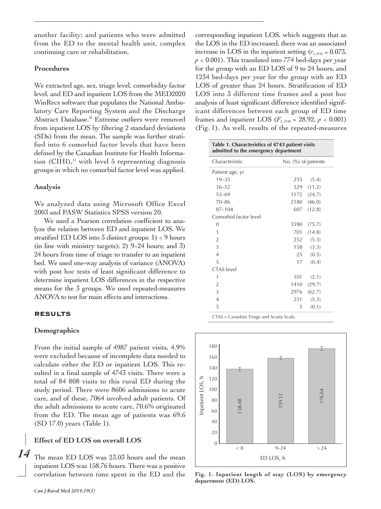another facility; and patients who were admitted from the ED to the mental health unit, complex continuing care or rehabilitation.

## **Procedures**

We extracted age, sex, triage level, comorbidity factor level, and ED and inpatient LOS from the MED2020 WinRecs software that populates the National Ambulatory Care Reporting System and the Discharge Abstract Database. <sup>30</sup> Extreme outliers were removed from inpatient LOS by filtering 2 standard deviations (SDs) from the mean. The sample was further stratified into 6 comorbid factor levels that have been defined by the Canadian Institute for Health Information (CIHI), <sup>31</sup> with level 5 representing diagnosis groups in which no comorbid factor level was applied.

### **Analysis**

We analyzed data using Microsoft Office Excel 2003 and PASW Statistics SPSS version 20.

We used a Pearson correlation coefficient to analyze the relation between ED and inpatient LOS. We stratified ED LOS into 3 distinct groups: 1) < 9 hours (in line with ministry targets); 2) 9–24 hours; and 3) 24 hours from time of triage to transfer to an inpatient bed. We used one-way analysis of variance (ANOVA) with post hoc tests of least significant difference to determine inpatient LOS differences in the respective means for the 3 groups. We used repeated-measures ANOVA to test for main effects and interactions.

## **RESULTS**

### **Demographics**

From the initial sample of 4987 patient visits, 4.9% were excluded because of incomplete data needed to calculate either the ED or inpatient LOS. This resulted in a final sample of 4743 visits. There were a total of 84 808 visits to this rural ED during the study period. There were 8606 admissions to acute care, and of these, 7064 involved adult patients. Of the adult admissions to acute care, 70.6% originated from the ED. The mean age of patients was 69.6 (SD 17.0) years (Table 1).

## **Effect of ED LOS on overall LOS**

The mean ED LOS was 23.03 hours and the mean inpatient LOS was 158.76 hours. There was a positive correlation between time spent in the ED and the

corresponding inpatient LOS, which suggests that as the LOS in the ED increased, there was an associated increase in LOS in the inpatient setting  $(r_{1,4742} = 0.073)$ ,  $p < 0.001$ ). This translated into 774 bed-days per year for the group with an ED LOS of 9 to 24 hours, and 1234 bed-days per year for the group with an ED LOS of greater than 24 hours. Stratification of ED LOS into 3 different time frames and a post hoc analysis of least significant difference identified significant differences between each group of ED time frames and inpatient LOS ( $F_{2,4740}$  = 28.92,  $p < 0.001$ ) (Fig. 1). As well, results of the repeated-measures

| Table 1. Characteristics of 4743 patient visits<br>admitted to the emergency department |                        |        |
|-----------------------------------------------------------------------------------------|------------------------|--------|
| Characteristic                                                                          | No. $(\%)$ of patients |        |
| Patient age, yr                                                                         |                        |        |
| $19 - 35$                                                                               | 255                    | (5.4)  |
| $36 - 52$                                                                               | 529                    | (11.2) |
| $53 - 69$                                                                               | 1172                   | (24.7) |
| $70 - 86$                                                                               | 2180                   | (46.0) |
| $87 - 104$                                                                              | 607                    | (12.8) |
| Comorbid factor level                                                                   |                        |        |
| $\overline{0}$                                                                          | 3590                   | (75.7) |
| 1                                                                                       | 701                    | (14.8) |
| $\overline{2}$                                                                          | 252                    | (5.3)  |
| 3                                                                                       | 158                    | (3.3)  |
| $\overline{4}$                                                                          | 25                     | (0.5)  |
| 5                                                                                       | 17                     | (0.4)  |
| <b>CTAS</b> level                                                                       |                        |        |
| 1                                                                                       | 101                    | (2.1)  |
| $\overline{2}$                                                                          | 1410                   | (29.7) |
| 3                                                                                       | 2976                   | (62.7) |
| $\overline{4}$                                                                          | 251                    | (5.3)  |
| 5                                                                                       | 5                      | (0.1)  |
| CTAS = Canadian Triage and Acuity Scale.                                                |                        |        |



**Fig. 1. Inpatient length of stay (LOS) by emergency department (ED) LOS.**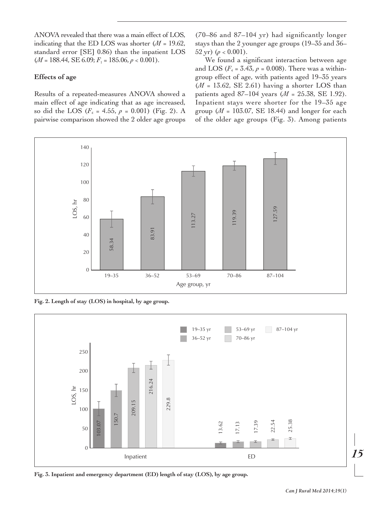ANOVA revealed that there was a main effect of LOS, indicating that the ED LOS was shorter (*M* = 19.62, standard error [SE] 0.86) than the inpatient LOS  $(M = 188.44, SE 6.09; F_1 = 185.06, p < 0.001).$ 

## **Effects of age**

Results of a repeated-measures ANOVA showed a main effect of age indicating that as age increased, so did the LOS ( $F_4$  = 4.55,  $\rho$  = 0.001) (Fig. 2). A pairwise comparison showed the 2 older age groups (70–86 and 87–104 yr) had significantly longer stays than the 2 younger age groups (19–35 and 36– 52 yr)  $(\rho < 0.001)$ .

We found a significant interaction between age and LOS ( $F_4$  = 3.43,  $\rho$  = 0.008). There was a withingroup effect of age, with patients aged 19–35 years  $(M = 13.62, SE 2.61)$  having a shorter LOS than patients aged 87–104 years (*M* = 25.38, SE 1.92). Inpatient stays were shorter for the 19–35 age group ( $M = 103.07$ , SE 18.44) and longer for each of the older age groups (Fig. 3). Among patients



**Fig. 2. Length of stay (LOS) in hospital, by age group.**



**Fig. 3. Inpatient and emergency department (ED) length of stay (LOS), by age group.**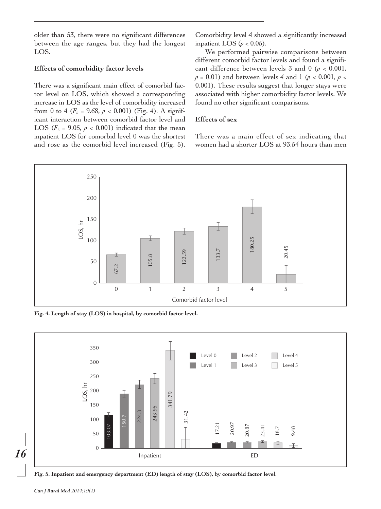older than 53, there were no significant differences between the age ranges, but they had the longest LOS.

## **Effects of comorbidity factor levels**

There was a significant main effect of comorbid factor level on LOS, which showed a corresponding increase in LOS as the level of comorbidity increased from 0 to 4 ( $F_5$  = 9.68,  $p < 0.001$ ) (Fig. 4). A significant interaction between comorbid factor level and LOS ( $F<sub>5</sub> = 9.05$ ,  $p < 0.001$ ) indicated that the mean inpatient LOS for comorbid level 0 was the shortest and rose as the comorbid level increased (Fig. 5). Comorbidity level 4 showed a significantly increased inpatient LOS ( $p < 0.05$ ).

We performed pairwise comparisons between different comorbid factor levels and found a significant difference between levels  $\bar{3}$  and  $0 \ (\rho < 0.001)$ , *p* = 0.01) and between levels 4 and 1 (*p* < 0.001, *p* < 0.001). These results suggest that longer stays were associated with higher comorbidity factor levels. We found no other significant comparisons.

## **Effects of sex**

There was a main effect of sex indicating that women had a shorter LOS at 93.54 hours than men



**Fig. 4. Length of stay (LOS) in hospital, by comorbid factor level.**



**Fig. 5. Inpatient and emergency department (ED) length of stay (LOS), by comorbid factor level.**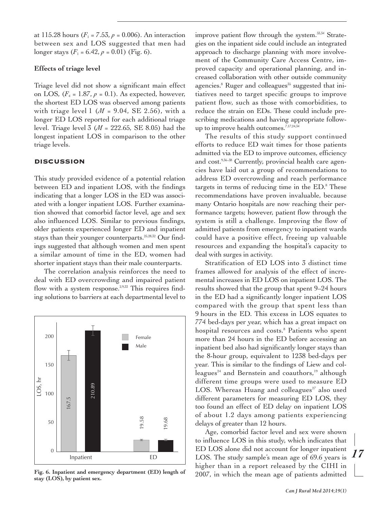at 115.28 hours ( $F_1 = 7.53$ ,  $p = 0.006$ ). An interaction between sex and LOS suggested that men had longer stays  $(F_1 = 6.42, p = 0.01)$  (Fig. 6).

## **Effects of triage level**

Triage level did not show a significant main effect on LOS,  $(F_4 = 1.87, p = 0.1)$ . As expected, however, the shortest ED LOS was observed among patients with triage level  $1 \, (M = 9.04, \text{ SE } 2.56)$ , with a longer ED LOS reported for each additional triage level. Triage level 3 (*M* = 222.65, SE 8.05) had the longest inpatient LOS in comparison to the other triage levels.

## **DISCUSSION**

This study provided evidence of a potential relation between ED and inpatient LOS, with the findings indicating that a longer LOS in the ED was associated with a longer inpatient LOS. Further examination showed that comorbid factor level, age and sex also influenced LOS. Similar to previous findings, older patients experienced longer ED and inpatient stays than their younger counterparts. 25,28,32 Our findings suggested that although women and men spent a similar amount of time in the ED, women had shorter inpatient stays than their male counterparts.

The correlation analysis reinforces the need to deal with ED overcrowding and impaired patient flow with a system response.<sup>2,9,33</sup> This requires finding solutions to barriers at each departmental level to



**Fig. 6. Inpatient and emergency department (ED) length of stay (LOS), by patient sex.**

improve patient flow through the system. 33,34 Strategies on the inpatient side could include an integrated approach to discharge planning with more involvement of the Community Care Access Centre, improved capacity and operational planning, and increased collaboration with other outside community agencies.<sup>8</sup> Ruger and colleagues<sup>35</sup> suggested that initiatives need to target specific groups to improve patient flow, such as those with comorbidities, to reduce the strain on EDs. These could include prescribing medications and having appropriate followup to improve health outcomes. 7,17,24,34

The results of this study support continued efforts to reduce ED wait times for those patients admitted via the ED to improve outcomes, efficiency and cost. 9,36–38 Currently, provincial health care agencies have laid out a group of recommendations to address ED overcrowding and reach performance targets in terms of reducing time in the ED. <sup>8</sup> These recommendations have proven invaluable, because many Ontario hospitals are now reaching their performance targets; however, patient flow through the system is still a challenge. Improving the flow of admitted patients from emergency to inpatient wards could have a positive effect, freeing up valuable resources and expanding the hospital's capacity to deal with surges in activity.

Stratification of ED LOS into 3 distinct time frames allowed for analysis of the effect of incremental increases in ED LOS on inpatient LOS. The results showed that the group that spent 9–24 hours in the ED had a significantly longer inpatient LOS compared with the group that spent less than 9 hours in the ED. This excess in LOS equates to 774 bed-days per year, which has a great impact on hospital resources and costs. <sup>8</sup> Patients who spent more than 24 hours in the ED before accessing an inpatient bed also had significantly longer stays than the 8-hour group, equivalent to 1238 bed-days per year. This is similar to the findings of Liew and colleagues<sup>24</sup> and Bernstein and coauthors,<sup>19</sup> although different time groups were used to measure ED LOS. Whereas Huang and colleagues $27$  also used different parameters for measuring ED LOS, they too found an effect of ED delay on inpatient LOS of about 1.2 days among patients experiencing delays of greater than 12 hours.

Age, comorbid factor level and sex were shown to influence LOS in this study, which indicates that ED LOS alone did not account for longer inpatient LOS. The study sample's mean age of 69.6 years is higher than in a report released by the CIHI in 2007, in which the mean age of patients admitted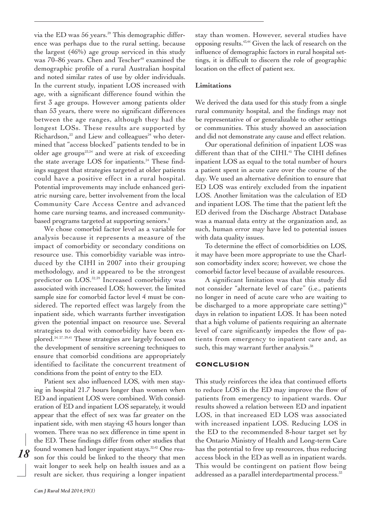via the ED was 56 years. <sup>39</sup> This demographic difference was perhaps due to the rural setting, because the largest (46%) age group serviced in this study was  $70-86$  years. Chen and Tescher<sup>40</sup> examined the demographic profile of a rural Australian hospital and noted similar rates of use by older individuals. In the current study, inpatient LOS increased with age, with a significant difference found within the first 3 age groups. However among patients older than 53 years, there were no significant differences between the age ranges, although they had the longest LOSs. These results are supported by Richardson,<sup>23</sup> and Liew and colleagues<sup>24</sup> who determined that "access blocked" patients tended to be in older age groups $25,24$  and were at risk of exceeding the state average LOS for inpatients. <sup>24</sup> These findings suggest that strategies targeted at older patients could have a positive effect in a rural hospital. Potential improvements may include enhanced geriatric nursing care, better involvement from the local Community Care Access Centre and advanced home care nursing teams, and increased communitybased programs targeted at supporting seniors. 8

We chose comorbid factor level as a variable for analysis because it represents a measure of the impact of comorbidity or secondary conditions on resource use. This comorbidity variable was introduced by the CIHI in 2007 into their grouping methodology, and it appeared to be the strongest predictor on LOS. 32,39 Increased comorbidity was associated with increased LOS; however, the limited sample size for comorbid factor level 4 must be considered. The reported effect was largely from the inpatient side, which warrants further investigation given the potential impact on resource use. Several strategies to deal with comorbidity have been explored. 24, 27, 29,41 These strategies are largely focused on the development of sensitive screening techniques to ensure that comorbid conditions are appropriately identified to facilitate the concurrent treatment of conditions from the point of entry to the ED.

Patient sex also influenced LOS, with men staying in hospital 21.7 hours longer than women when ED and inpatient LOS were combined. With consideration of ED and inpatient LOS separately, it would appear that the effect of sex was far greater on the inpatient side, with men staying 43 hours longer than women. There was no sex difference in time spent in the ED. These findings differ from other studies that found women had longer inpatient stays.<sup>32,42</sup> One reason for this could be linked to the theory that men wait longer to seek help on health issues and as a result are sicker, thus requiring a longer inpatient

stay than women. However, several studies have opposing results. 43,44 Given the lack of research on the influence of demographic factors in rural hospital settings, it is difficult to discern the role of geographic location on the effect of patient sex.

## **Limitations**

We derived the data used for this study from a single rural community hospital, and the findings may not be representative of or generalizable to other settings or communities. This study showed an association and did not demonstrate any cause and effect relation.

Our operational definition of inpatient LOS was different than that of the CIHI. <sup>45</sup> The CIHI defines inpatient LOS as equal to the total number of hours a patient spent in acute care over the course of the day. We used an alternative definition to ensure that ED LOS was entirely excluded from the inpatient LOS. Another limitation was the calculation of ED and inpatient LOS. The time that the patient left the ED derived from the Discharge Abstract Database was a manual data entry at the organization and, as such, human error may have led to potential issues with data quality issues.

To determine the effect of comorbidities on LOS, it may have been more appropriate to use the Charlson comorbidity index score; however, we chose the comorbid factor level because of available resources.

A significant limitation was that this study did not consider "alternate level of care" (i.e., patients no longer in need of acute care who are waiting to be discharged to a more appropriate care setting)<sup>46</sup> days in relation to inpatient LOS. It has been noted that a high volume of patients requiring an alternate level of care significantly impedes the flow of patients from emergency to inpatient care and, as such, this may warrant further analysis. 38

### **CONCLUSION**

This study reinforces the idea that continued efforts to reduce LOS in the ED may improve the flow of patients from emergency to inpatient wards. Our results showed a relation between ED and inpatient LOS, in that increased ED LOS was associated with increased inpatient LOS. Reducing LOS in the ED to the recommended 8-hour target set by the Ontario Ministry of Health and Long-term Care has the potential to free up resources, thus reducing access block in the ED as well as in inpatient wards. This would be contingent on patient flow being addressed as a parallel interdepartmental process. 33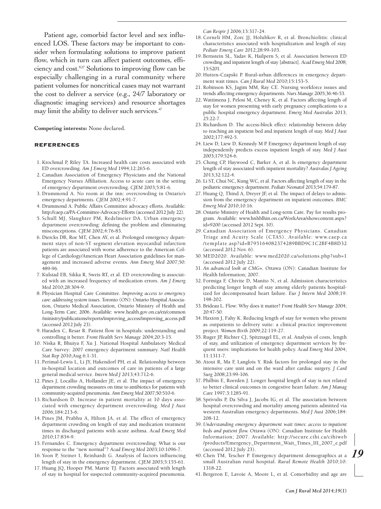Patient age, comorbid factor level and sex influenced LOS. These factors may be important to consider when formulating solutions to improve patient flow, which in turn can affect patient outcomes, efficiency and cost.<sup>8,27</sup> Solutions to improving flow can be especially challenging in a rural community where patient volumes for noncritical cases may not warrant the cost to deliver a service (e.g., 24/7 laboratory or diagnostic imaging services) and resource shortages may limit the ability to deliver such services. 47

**Competing interests:** None declared.

#### **REFERENCES**

- 1. Krochmal P, Riley TA. Increased health care costs associated with ED overcrowding. *Am J Emerg Med* 1994;12:265-6.
- 2. Canadian Association of Emergency Physicians and the National Emergency Nurses Affiliation. Access to acute care in the setting of emergency department overcrowding. *CJEM* 2003;5:81-6.
- 3. Drummond A. No room at the inn: overcrowding in Ontario's emergency departments. *CJEM* 2002;4:91-7.
- 4. Drummond A. Public Affairs Committee advocacy efforts. Available: http://caep.ca/PA-Committee-Advocacy-Efforts(accessed 2012 July 22).
- 5. Schull MJ, Slaughter PM, Redelmeier DA. Urban emergency department overcrowding: defining the problem and eliminating misconceptions. *CJEM* 2002;4:76-83.
- 6. Diercks DB, Roe MT, Chen AY, et al. Prolonged emergency department stays of non-ST segment elevation myocardial infarction patients are associated with worse adherence to the American College of Cardiology/American Heart Association guidelines for management and increased adverse events. *Ann Emerg Med* 2007;50: 489-96.
- 7. Kulstad EB, Sikka R, Sweis RT, et al. ED overcrowding is associated with an increased frequency of medication errors. *Am J Emerg Med* 2010;28:304-9.
- 8. Physician Hospital Care Committee. *Improving access to emergency care: addressing system issues.* Toronto (ON): Ontario Hospital Association, Ontario Medical Association, Ontario Ministry of Health and Long-Term Care; 2006. Available: www.health.gov.on.ca/en/common /ministry/publications/reports/improving\_access/improving\_access.pdf (accessed 2012 July 23).
- 9. Haraden C, Resar R. Patient flow in hospitals: understanding and controlling it better. *Front Health Serv Manage* 2004;20:3-15.
- 10. Niska R, Bhuiya F, Xu J. National Hospital Ambulatory Medical Care Survey: 2007 emergency department summary. *Natl Health Stat Rep* 2010;Aug 6:1-31.
- 11. Perimal-Lewis L, Li JY, Hakendorf PH, et al. Relationship between in-hospital location and outcomes of care in patients of a large general medical service. *Intern Med J* 2013;43:712-6.
- 12. Pines J, Locallio A, Hollander JE, et al. The impact of emergency department crowding measures on time to antibiotics for patients with community-acquired pneumonia. *Ann Emerg Med* 2007;50:510-6.
- 13. Richardson D. Increase in patient mortality at 10 days associated with emergency department overcrowding. *Med J Aust* 2006;184:213-6.
- 14. Pines JM, Prabhu A, Hilton JA, et al. The effect of emergency department crowding on length of stay and medication treatment times in discharged patients with acute asthma. *Acad Emerg Med* 2010;17:834-9.
- 15. Fernandes C. Emergency department overcrowding: What is our response to the "new normal"? *Acad Emerg Med* 2003;10:1096-7.
- 16. Yoon P, Steiner I, Reinhardt G. Analysis of factors influencing length of stay in the emergency department. *CJEM* 2003;5:155-61.
- 17. Huang JQ, Hooper PM, Marrie TJ. Factors associated with length of stay in hospital for suspected community-acquired pneumonia.

*Can Respir J* 2006;13:317-24.

- 18. Corneli HM, Zorc JJ, Holubkov R, et al. Bronchiolitis: clinical characteristics associated with hospitalization and length of stay. *Pediatr Emerg Care* 2012;28:99-103.
- 19. Bernstein SL, Yadav K, Hailpern S, et al. Association between ED crowding and inpatient length of stay [abstract]. *Acad Emerg Med* 2008; 15:S201.
- 20. Hutten-Czapski P. Rural-urban differences in emergency department wait times. *Can J Rural Med* 2010;15:153-5.
- 21. Robinson KS, Jagim MM, Ray CE. Nursing workforce issues and trends affecting emergency departments. *Nurs Manage* 2005;36:46-53.
- 22. Wattimena J, Pelosi M, Cheney K, et al. Factors affecting length of stay for women presenting with early pregnancy complications to a public hospital emergency department. *Emerg Med Australas* 2013; 25:22-7.
- 23. Richardson D. The access-block effect: relationship between delay to reaching an inpatient bed and inpatient length of stay. *Med J Aust* 2002;177:492-5.
- 24. Liew D, Liew D, Kennedy M P. Emergency department length of stay independently predicts excess inpatient length of stay. *Med J Aust* 2003;179:524-6.
- 25. Chong CP, Haywood C, Barker A, et al. Is emergency department length of stay associated with inpatient mortality? *Australas J Ageing* 2013;32:122-4.
- 26. Li ST, Chui NC, Kung WC, et al. Factors affecting length of stay in the pediatric emergency department. *Pediatr Neonatol* 2013;54:179-87.
- 27. Huang Q, Thind A, Dreyer JF, et al. The impact of delays to admission from the emergency department on inpatient outcomes. *BMC Emerg Med* 2010;10:16.
- 28. Ontario Ministry of Health and Long-term Care. Pay for results program. Available: www.hnhblhin.on.ca/WorkArea/showcontent.aspx? id=9200 (accessed 2012 Sept. 10).
- 29. Canadian Association of Emergency Physicians. Canadian Triage and Acuity Scale (CTAS). Available: www.caep.ca /template.asp?id=B795164082374289BBD9C1C2BF4B8D32 (accessed 2012 Nov. 6).
- 30. MED2020. Available: www.med2020.ca/solutions.php?sub=1 (accessed 2012 July 22).
- 31. *An advanced look at CMG+.* Ottawa (ON): Canadian Institute for Health Information; 2007.
- 32. Formiga F, Chivite D, Manito N, et al. Admission characteristics predicting longer length of stay among elderly patients hospitalized for decompensated heart failure. *Eur J Intern Med* 2008;19: 198-202.
- 33. Brideau L. Flow: Why does it matter? *Front Health Serv Manage* 2004; 20:47-50.
- 34. Haxton J, Fahy K. Reducing length of stay for women who present as outpatients to delivery suite: a clinical practice improvement project. *Women Birth* 2009;22:119-27.
- 35. Ruger JP, Richter CJ, Spitznagel EL, et al. Analysis of costs, length of stay, and utilization of emergency department services by frequent users: implications for health policy. *Acad Emerg Med* 2004; 11:1311-7.
- 36. Atoui R, Ma F, Langlois Y. Risk factors for prolonged stay in the intensive care unit and on the ward after cardiac surgery. *J Card Surg* 2008;23:99-106.
- 37. Philbin E, Roerden J. Longer hospital length of stay is not related to better clinical outcomes in congestive heart failure. *Am J Manag Care* 1997;3:1285-91.
- 38. Sprivulis P, Da Silva J, Jacobs IG, et al. The association between hospital overcrowding and mortality among patients admitted via western Australian emergency departments. *Med J Aust* 2006;184: 208-12.
- 39. *Understanding emergency department wait times: access to inpatient beds and patient flow.* Ottawa (ON): Canadian Institute for Health Information; 2007. Available: http://secure.cihi.ca/cihiweb /products/Emergency\_Department\_Wait\_Times\_III\_2007\_e.pdf (accessed 2012 July 23).
- 40.Chen TM, Tescher P. Emergency department demographics at a small Australian rural hospital. *Rural Remote Health* 2010;10: 1318-22.
- 41. Bergeron E, Lavoie A, Moore L, et al. Comorbidity and age are